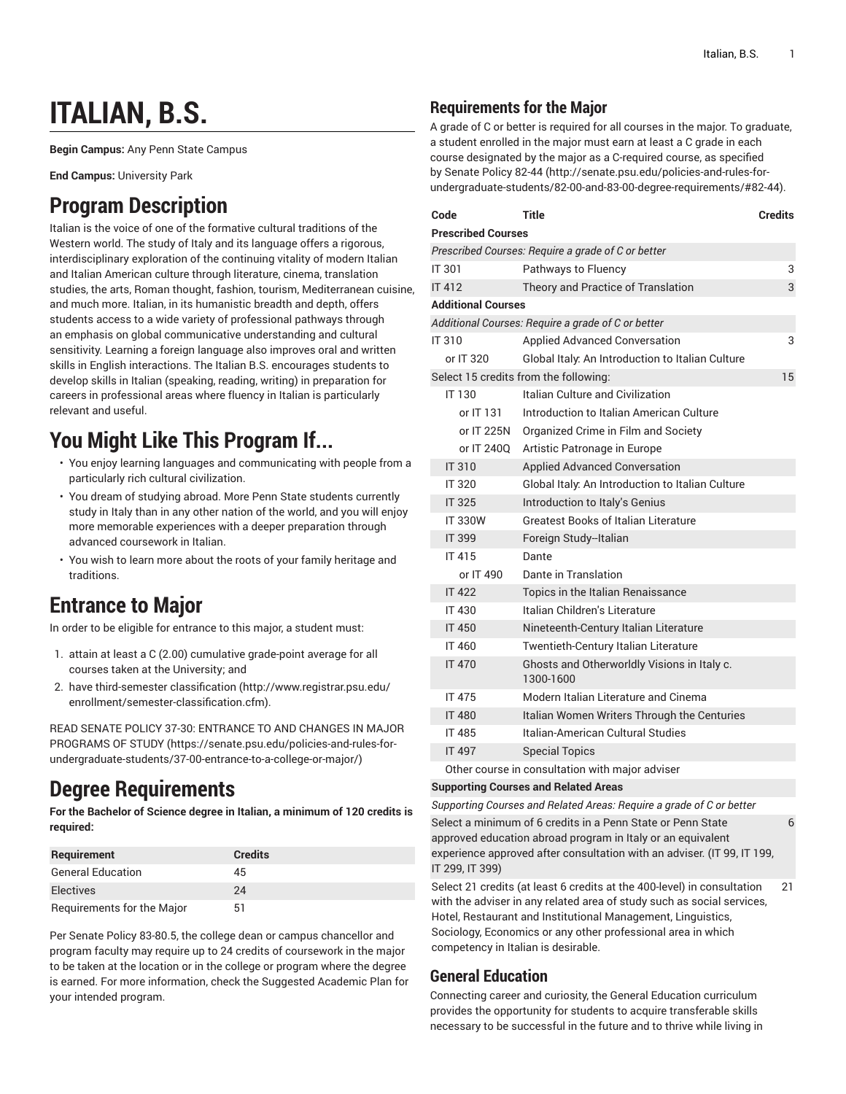# **ITALIAN, B.S.**

**Begin Campus:** Any Penn State Campus

**End Campus:** University Park

# **Program Description**

Italian is the voice of one of the formative cultural traditions of the Western world. The study of Italy and its language offers a rigorous, interdisciplinary exploration of the continuing vitality of modern Italian and Italian American culture through literature, cinema, translation studies, the arts, Roman thought, fashion, tourism, Mediterranean cuisine, and much more. Italian, in its humanistic breadth and depth, offers students access to a wide variety of professional pathways through an emphasis on global communicative understanding and cultural sensitivity. Learning a foreign language also improves oral and written skills in English interactions. The Italian B.S. encourages students to develop skills in Italian (speaking, reading, writing) in preparation for careers in professional areas where fluency in Italian is particularly relevant and useful.

# **You Might Like This Program If...**

- You enjoy learning languages and communicating with people from a particularly rich cultural civilization.
- You dream of studying abroad. More Penn State students currently study in Italy than in any other nation of the world, and you will enjoy more memorable experiences with a deeper preparation through advanced coursework in Italian.
- You wish to learn more about the roots of your family heritage and traditions.

# **Entrance to Major**

In order to be eligible for entrance to this major, a student must:

- 1. attain at least a C (2.00) cumulative grade-point average for all courses taken at the University; and
- 2. have [third-semester](http://www.registrar.psu.edu/enrollment/semester-classification.cfm) classification ([http://www.registrar.psu.edu/](http://www.registrar.psu.edu/enrollment/semester-classification.cfm) [enrollment/semester-classification.cfm\)](http://www.registrar.psu.edu/enrollment/semester-classification.cfm).

READ SENATE POLICY 37-30: [ENTRANCE](https://senate.psu.edu/policies-and-rules-for-undergraduate-students/37-00-entrance-to-a-college-or-major/) TO AND CHANGES IN MAJOR [PROGRAMS](https://senate.psu.edu/policies-and-rules-for-undergraduate-students/37-00-entrance-to-a-college-or-major/) OF STUDY ([https://senate.psu.edu/policies-and-rules-for](https://senate.psu.edu/policies-and-rules-for-undergraduate-students/37-00-entrance-to-a-college-or-major/)[undergraduate-students/37-00-entrance-to-a-college-or-major/\)](https://senate.psu.edu/policies-and-rules-for-undergraduate-students/37-00-entrance-to-a-college-or-major/)

# **Degree Requirements**

**For the Bachelor of Science degree in Italian, a minimum of 120 credits is required:**

| <b>Requirement</b>         | <b>Credits</b> |
|----------------------------|----------------|
| <b>General Education</b>   | 45             |
| <b>Electives</b>           | 24             |
| Requirements for the Major | 51             |

Per Senate Policy 83-80.5, the college dean or campus chancellor and program faculty may require up to 24 credits of coursework in the major to be taken at the location or in the college or program where the degree is earned. For more information, check the Suggested Academic Plan for your intended program.

### **Requirements for the Major**

A grade of C or better is required for all courses in the major. To graduate, a student enrolled in the major must earn at least a C grade in each course designated by the major as a C-required course, as specified by [Senate](http://senate.psu.edu/policies-and-rules-for-undergraduate-students/82-00-and-83-00-degree-requirements/#82-44) Policy 82-44 ([http://senate.psu.edu/policies-and-rules-for](http://senate.psu.edu/policies-and-rules-for-undergraduate-students/82-00-and-83-00-degree-requirements/#82-44)[undergraduate-students/82-00-and-83-00-degree-requirements/#82-44](http://senate.psu.edu/policies-and-rules-for-undergraduate-students/82-00-and-83-00-degree-requirements/#82-44)).

| Code                                               | <b>Title</b>                                             | Credits |  |  |
|----------------------------------------------------|----------------------------------------------------------|---------|--|--|
| <b>Prescribed Courses</b>                          |                                                          |         |  |  |
|                                                    | Prescribed Courses: Require a grade of C or better       |         |  |  |
| <b>IT 301</b>                                      | Pathways to Fluency                                      | 3       |  |  |
| <b>IT 412</b>                                      | Theory and Practice of Translation                       | 3       |  |  |
| <b>Additional Courses</b>                          |                                                          |         |  |  |
| Additional Courses: Require a grade of C or better |                                                          |         |  |  |
| IT 310                                             | <b>Applied Advanced Conversation</b>                     | 3       |  |  |
| or IT 320                                          | Global Italy: An Introduction to Italian Culture         |         |  |  |
|                                                    | Select 15 credits from the following:                    | 15      |  |  |
| IT 130                                             | Italian Culture and Civilization                         |         |  |  |
| or IT 131                                          | Introduction to Italian American Culture                 |         |  |  |
| or IT 225N                                         | Organized Crime in Film and Society                      |         |  |  |
| or IT 2400                                         | Artistic Patronage in Europe                             |         |  |  |
| IT 310                                             | <b>Applied Advanced Conversation</b>                     |         |  |  |
| IT 320                                             | Global Italy: An Introduction to Italian Culture         |         |  |  |
| <b>IT 325</b>                                      | Introduction to Italy's Genius                           |         |  |  |
| <b>IT 330W</b>                                     | <b>Greatest Books of Italian Literature</b>              |         |  |  |
| <b>IT 399</b>                                      | Foreign Study--Italian                                   |         |  |  |
| IT 415                                             | Dante                                                    |         |  |  |
| or IT 490                                          | Dante in Translation                                     |         |  |  |
| <b>IT 422</b>                                      | Topics in the Italian Renaissance                        |         |  |  |
| <b>IT 430</b>                                      | Italian Children's Literature                            |         |  |  |
| <b>IT 450</b>                                      | Nineteenth-Century Italian Literature                    |         |  |  |
| IT 460                                             | <b>Twentieth-Century Italian Literature</b>              |         |  |  |
| <b>IT 470</b>                                      | Ghosts and Otherworldly Visions in Italy c.<br>1300-1600 |         |  |  |
| <b>IT 475</b>                                      | Modern Italian Literature and Cinema                     |         |  |  |
| <b>IT 480</b>                                      | Italian Women Writers Through the Centuries              |         |  |  |
| <b>IT 485</b>                                      | Italian-American Cultural Studies                        |         |  |  |
| <b>IT 497</b>                                      | <b>Special Topics</b>                                    |         |  |  |
|                                                    | Other course in consultation with major adviser          |         |  |  |

### **Supporting Courses and Related Areas**

*Supporting Courses and Related Areas: Require a grade of C or better* Select a minimum of 6 credits in a Penn State or Penn State approved education abroad program in Italy or an equivalent experience approved after consultation with an adviser. (IT 99, IT 199, IT 299, IT 399)

6

Select 21 credits (at least 6 credits at the 400-level) in consultation with the adviser in any related area of study such as social services, Hotel, Restaurant and Institutional Management, Linguistics, Sociology, Economics or any other professional area in which competency in Italian is desirable. 21

### **General Education**

Connecting career and curiosity, the General Education curriculum provides the opportunity for students to acquire transferable skills necessary to be successful in the future and to thrive while living in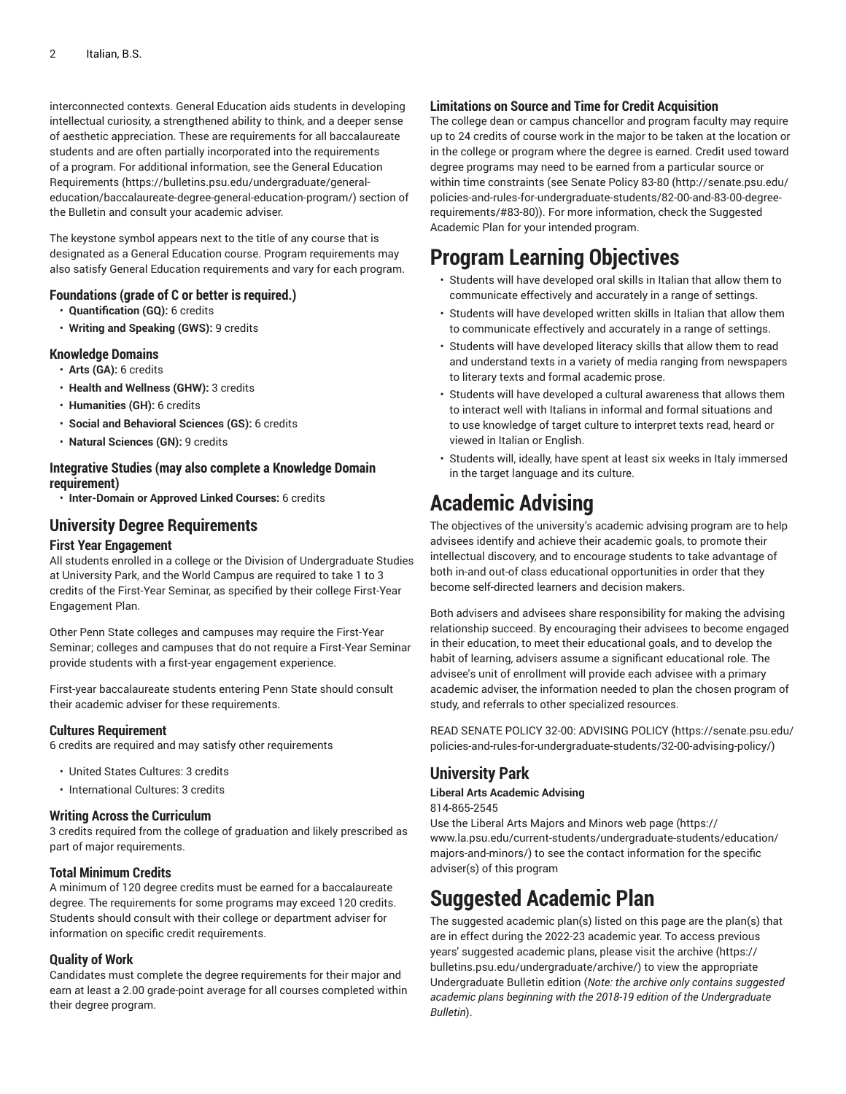interconnected contexts. General Education aids students in developing intellectual curiosity, a strengthened ability to think, and a deeper sense of aesthetic appreciation. These are requirements for all baccalaureate students and are often partially incorporated into the requirements of a program. For additional information, see the General [Education](https://bulletins.psu.edu/undergraduate/general-education/baccalaureate-degree-general-education-program/) [Requirements](https://bulletins.psu.edu/undergraduate/general-education/baccalaureate-degree-general-education-program/) ([https://bulletins.psu.edu/undergraduate/general](https://bulletins.psu.edu/undergraduate/general-education/baccalaureate-degree-general-education-program/)[education/baccalaureate-degree-general-education-program/\)](https://bulletins.psu.edu/undergraduate/general-education/baccalaureate-degree-general-education-program/) section of the Bulletin and consult your academic adviser.

The keystone symbol appears next to the title of any course that is designated as a General Education course. Program requirements may also satisfy General Education requirements and vary for each program.

### **Foundations (grade of C or better is required.)**

- **Quantification (GQ):** 6 credits
- **Writing and Speaking (GWS):** 9 credits

#### **Knowledge Domains**

- **Arts (GA):** 6 credits
- **Health and Wellness (GHW):** 3 credits
- **Humanities (GH):** 6 credits
- **Social and Behavioral Sciences (GS):** 6 credits
- **Natural Sciences (GN):** 9 credits

### **Integrative Studies (may also complete a Knowledge Domain requirement)**

• **Inter-Domain or Approved Linked Courses:** 6 credits

### **University Degree Requirements**

#### **First Year Engagement**

All students enrolled in a college or the Division of Undergraduate Studies at University Park, and the World Campus are required to take 1 to 3 credits of the First-Year Seminar, as specified by their college First-Year Engagement Plan.

Other Penn State colleges and campuses may require the First-Year Seminar; colleges and campuses that do not require a First-Year Seminar provide students with a first-year engagement experience.

First-year baccalaureate students entering Penn State should consult their academic adviser for these requirements.

#### **Cultures Requirement**

6 credits are required and may satisfy other requirements

- United States Cultures: 3 credits
- International Cultures: 3 credits

#### **Writing Across the Curriculum**

3 credits required from the college of graduation and likely prescribed as part of major requirements.

### **Total Minimum Credits**

A minimum of 120 degree credits must be earned for a baccalaureate degree. The requirements for some programs may exceed 120 credits. Students should consult with their college or department adviser for information on specific credit requirements.

#### **Quality of Work**

Candidates must complete the degree requirements for their major and earn at least a 2.00 grade-point average for all courses completed within their degree program.

### **Limitations on Source and Time for Credit Acquisition**

The college dean or campus chancellor and program faculty may require up to 24 credits of course work in the major to be taken at the location or in the college or program where the degree is earned. Credit used toward degree programs may need to be earned from a particular source or within time constraints (see [Senate](http://senate.psu.edu/policies-and-rules-for-undergraduate-students/82-00-and-83-00-degree-requirements/#83-80) Policy 83-80 [\(http://senate.psu.edu/](http://senate.psu.edu/policies-and-rules-for-undergraduate-students/82-00-and-83-00-degree-requirements/#83-80) [policies-and-rules-for-undergraduate-students/82-00-and-83-00-degree](http://senate.psu.edu/policies-and-rules-for-undergraduate-students/82-00-and-83-00-degree-requirements/#83-80)[requirements/#83-80](http://senate.psu.edu/policies-and-rules-for-undergraduate-students/82-00-and-83-00-degree-requirements/#83-80))). For more information, check the Suggested Academic Plan for your intended program.

# **Program Learning Objectives**

- Students will have developed oral skills in Italian that allow them to communicate effectively and accurately in a range of settings.
- Students will have developed written skills in Italian that allow them to communicate effectively and accurately in a range of settings.
- Students will have developed literacy skills that allow them to read and understand texts in a variety of media ranging from newspapers to literary texts and formal academic prose.
- Students will have developed a cultural awareness that allows them to interact well with Italians in informal and formal situations and to use knowledge of target culture to interpret texts read, heard or viewed in Italian or English.
- Students will, ideally, have spent at least six weeks in Italy immersed in the target language and its culture.

# **Academic Advising**

The objectives of the university's academic advising program are to help advisees identify and achieve their academic goals, to promote their intellectual discovery, and to encourage students to take advantage of both in-and out-of class educational opportunities in order that they become self-directed learners and decision makers.

Both advisers and advisees share responsibility for making the advising relationship succeed. By encouraging their advisees to become engaged in their education, to meet their educational goals, and to develop the habit of learning, advisers assume a significant educational role. The advisee's unit of enrollment will provide each advisee with a primary academic adviser, the information needed to plan the chosen program of study, and referrals to other specialized resources.

READ SENATE POLICY 32-00: [ADVISING](https://senate.psu.edu/policies-and-rules-for-undergraduate-students/32-00-advising-policy/) POLICY ([https://senate.psu.edu/](https://senate.psu.edu/policies-and-rules-for-undergraduate-students/32-00-advising-policy/) [policies-and-rules-for-undergraduate-students/32-00-advising-policy/](https://senate.psu.edu/policies-and-rules-for-undergraduate-students/32-00-advising-policy/))

### **University Park**

### **Liberal Arts Academic Advising**

814-865-2545

Use the Liberal Arts Majors and [Minors](https://www.la.psu.edu/current-students/undergraduate-students/education/majors-and-minors/) web page [\(https://](https://www.la.psu.edu/current-students/undergraduate-students/education/majors-and-minors/) [www.la.psu.edu/current-students/undergraduate-students/education/](https://www.la.psu.edu/current-students/undergraduate-students/education/majors-and-minors/) [majors-and-minors/](https://www.la.psu.edu/current-students/undergraduate-students/education/majors-and-minors/)) to see the contact information for the specific adviser(s) of this program

### **Suggested Academic Plan**

The suggested academic plan(s) listed on this page are the plan(s) that are in effect during the 2022-23 academic year. To access previous years' suggested academic plans, please visit the [archive](https://bulletins.psu.edu/undergraduate/archive/) ([https://](https://bulletins.psu.edu/undergraduate/archive/) [bulletins.psu.edu/undergraduate/archive/\)](https://bulletins.psu.edu/undergraduate/archive/) to view the appropriate Undergraduate Bulletin edition (*Note: the archive only contains suggested academic plans beginning with the 2018-19 edition of the Undergraduate Bulletin*).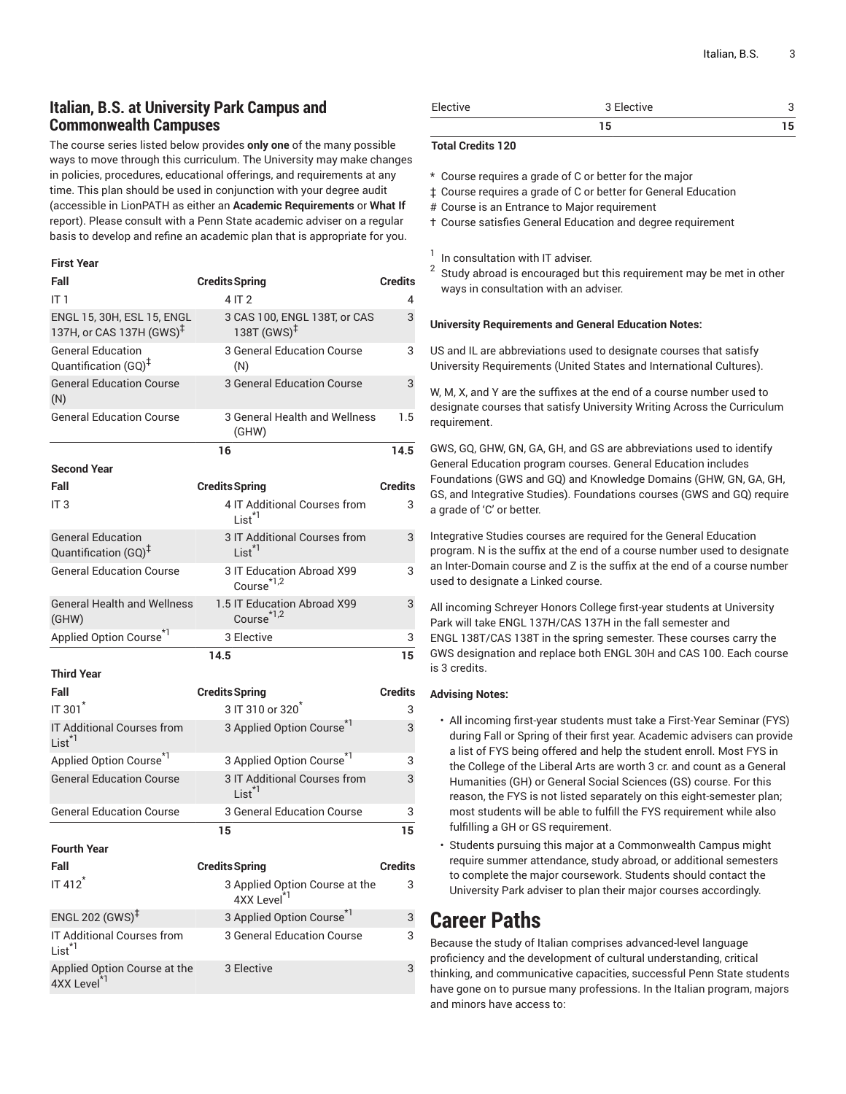### **Italian, B.S. at University Park Campus and Commonwealth Campuses**

The course series listed below provides **only one** of the many possible ways to move through this curriculum. The University may make changes in policies, procedures, educational offerings, and requirements at any time. This plan should be used in conjunction with your degree audit (accessible in LionPATH as either an **Academic Requirements** or **What If** report). Please consult with a Penn State academic adviser on a regular basis to develop and refine an academic plan that is appropriate for you.

#### **First Year**

| Fall                                                               | <b>Credits Spring</b>                                     | <b>Credits</b> |
|--------------------------------------------------------------------|-----------------------------------------------------------|----------------|
| IT1                                                                | 4 IT 2                                                    | 4              |
| ENGL 15, 30H, ESL 15, ENGL<br>137H, or CAS 137H (GWS) <sup>‡</sup> | 3 CAS 100, ENGL 138T, or CAS<br>138T (GWS) <sup>‡</sup>   | 3              |
| <b>General Education</b><br>Quantification (GQ) <sup>‡</sup>       | 3 General Education Course<br>(N)                         | 3              |
| <b>General Education Course</b><br>(N)                             | <b>3 General Education Course</b>                         | 3              |
| <b>General Education Course</b>                                    | 3 General Health and Wellness<br>(GHW)                    | 1.5            |
|                                                                    | 16                                                        | 14.5           |
| <b>Second Year</b>                                                 |                                                           |                |
| Fall                                                               | <b>Credits Spring</b>                                     | <b>Credits</b> |
| IT <sub>3</sub>                                                    | 4 IT Additional Courses from<br>$List^{\star 1}$          | 3              |
| <b>General Education</b><br>Quantification (GQ) <sup>‡</sup>       | 3 IT Additional Courses from<br>$List^{\star}1$           | 3              |
| <b>General Education Course</b>                                    | 3 IT Education Abroad X99<br>Course <sup>*1,2</sup>       | 3              |
| <b>General Health and Wellness</b><br>(GHW)                        | 1.5 IT Education Abroad X99<br>Course <sup>*1,2</sup>     | 3              |
| Applied Option Course <sup>*1</sup>                                | 3 Elective                                                | 3              |
|                                                                    | 14.5                                                      | 15             |
| <b>Third Year</b>                                                  |                                                           |                |
| Fall                                                               | <b>Credits Spring</b>                                     | <b>Credits</b> |
| IT 301                                                             | 3 IT 310 or 320 <sup>*</sup>                              | 3              |
| IT Additional Courses from<br>$List^{\star 1}$                     | 3 Applied Option Course <sup>*1</sup>                     | 3              |
| Applied Option Course <sup>*1</sup>                                | 3 Applied Option Course*1                                 | 3              |
| <b>General Education Course</b>                                    | 3 IT Additional Courses from<br>$List^{\star 1}$          | 3              |
| <b>General Education Course</b>                                    | <b>3 General Education Course</b>                         | 3              |
|                                                                    | 15                                                        | 15             |
| <b>Fourth Year</b>                                                 |                                                           |                |
| Fall                                                               | <b>Credits Spring</b>                                     | <b>Credits</b> |
| IT 412 <sup>*</sup>                                                | 3 Applied Option Course at the<br>4XX Level <sup>*1</sup> | 3              |
| ENGL 202 $(GWS)^{\ddagger}$                                        | 3 Applied Option Course <sup>*1</sup>                     | 3              |
| IT Additional Courses from<br>List <sup>*1</sup>                   | 3 General Education Course                                | 3              |
| Applied Option Course at the<br>4XX Level <sup>*1</sup>            | 3 Elective                                                | 3              |

| Elective | 3 Elective |  |
|----------|------------|--|
|          | 15         |  |

### **Total Credits 120**

- \* Course requires a grade of C or better for the major
- ‡ Course requires a grade of C or better for General Education
- # Course is an Entrance to Major requirement
- † Course satisfies General Education and degree requirement

1 In consultation with IT adviser.

 $^{\rm 2} \,$  Study abroad is encouraged but this requirement may be met in other ways in consultation with an adviser.

#### **University Requirements and General Education Notes:**

US and IL are abbreviations used to designate courses that satisfy University Requirements (United States and International Cultures).

W, M, X, and Y are the suffixes at the end of a course number used to designate courses that satisfy University Writing Across the Curriculum requirement.

GWS, GQ, GHW, GN, GA, GH, and GS are abbreviations used to identify General Education program courses. General Education includes Foundations (GWS and GQ) and Knowledge Domains (GHW, GN, GA, GH, GS, and Integrative Studies). Foundations courses (GWS and GQ) require a grade of 'C' or better.

Integrative Studies courses are required for the General Education program. N is the suffix at the end of a course number used to designate an Inter-Domain course and Z is the suffix at the end of a course number used to designate a Linked course.

All incoming Schreyer Honors College first-year students at University Park will take ENGL 137H/CAS 137H in the fall semester and ENGL 138T/CAS 138T in the spring semester. These courses carry the GWS designation and replace both ENGL 30H and CAS 100. Each course is 3 credits.

#### **Advising Notes:**

- All incoming first-year students must take a First-Year Seminar (FYS) during Fall or Spring of their first year. Academic advisers can provide a list of FYS being offered and help the student enroll. Most FYS in the College of the Liberal Arts are worth 3 cr. and count as a General Humanities (GH) or General Social Sciences (GS) course. For this reason, the FYS is not listed separately on this eight-semester plan; most students will be able to fulfill the FYS requirement while also fulfilling a GH or GS requirement.
- Students pursuing this major at a Commonwealth Campus might require summer attendance, study abroad, or additional semesters to complete the major coursework. Students should contact the University Park adviser to plan their major courses accordingly.

### **Career Paths**

Because the study of Italian comprises advanced-level language proficiency and the development of cultural understanding, critical thinking, and communicative capacities, successful Penn State students have gone on to pursue many professions. In the Italian program, majors and minors have access to: